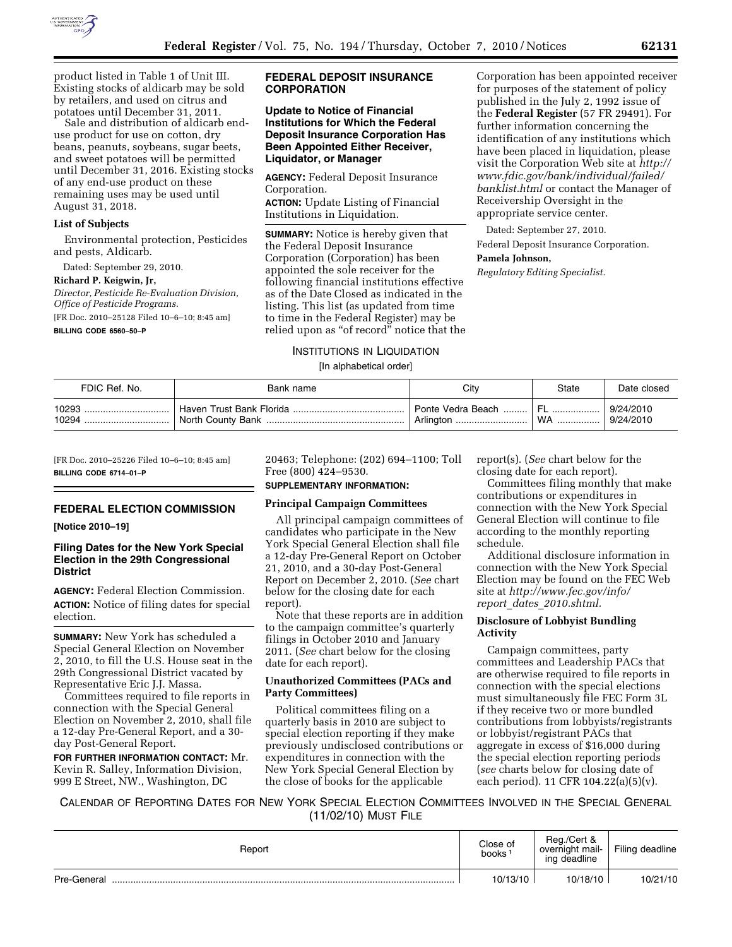

product listed in Table 1 of Unit III. Existing stocks of aldicarb may be sold by retailers, and used on citrus and potatoes until December 31, 2011.

Sale and distribution of aldicarb enduse product for use on cotton, dry beans, peanuts, soybeans, sugar beets, and sweet potatoes will be permitted until December 31, 2016. Existing stocks of any end-use product on these remaining uses may be used until August 31, 2018.

### **List of Subjects**

Environmental protection, Pesticides and pests, Aldicarb.

Dated: September 29, 2010.

#### **Richard P. Keigwin, Jr,**

*Director, Pesticide Re-Evaluation Division, Office of Pesticide Programs.*  [FR Doc. 2010–25128 Filed 10–6–10; 8:45 am]

**BILLING CODE 6560–50–P** 

# **FEDERAL DEPOSIT INSURANCE CORPORATION**

**Update to Notice of Financial Institutions for Which the Federal Deposit Insurance Corporation Has Been Appointed Either Receiver, Liquidator, or Manager** 

**AGENCY:** Federal Deposit Insurance Corporation.

**ACTION:** Update Listing of Financial Institutions in Liquidation.

**SUMMARY:** Notice is hereby given that the Federal Deposit Insurance Corporation (Corporation) has been appointed the sole receiver for the following financial institutions effective as of the Date Closed as indicated in the listing. This list (as updated from time to time in the Federal Register) may be relied upon as ''of record'' notice that the Corporation has been appointed receiver for purposes of the statement of policy published in the July 2, 1992 issue of the **Federal Register** (57 FR 29491). For further information concerning the identification of any institutions which have been placed in liquidation, please visit the Corporation Web site at *[http://](http://www.fdic.gov/bank/individual/failed/banklist.html) [www.fdic.gov/bank/individual/failed/](http://www.fdic.gov/bank/individual/failed/banklist.html)  [banklist.html](http://www.fdic.gov/bank/individual/failed/banklist.html)* or contact the Manager of Receivership Oversight in the appropriate service center.

Dated: September 27, 2010.

Federal Deposit Insurance Corporation. **Pamela Johnson,** 

*Regulatory Editing Specialist.* 

### INSTITUTIONS IN LIQUIDATION

[In alphabetical order]

| FDIC Ref. No. | Bank name                | Citv                 | State | Date closed |
|---------------|--------------------------|----------------------|-------|-------------|
| 10293         | Haven Trust Bank Florida | Donte Vedra Beach  I | EL    | 9/24/2010   |
| 10294         |                          | Arlington            | WA    | 9/24/2010   |

[FR Doc. 2010–25226 Filed 10–6–10; 8:45 am] **BILLING CODE 6714–01–P** 

#### **FEDERAL ELECTION COMMISSION**

### **[Notice 2010–19]**

# **Filing Dates for the New York Special Election in the 29th Congressional District**

**AGENCY:** Federal Election Commission. **ACTION:** Notice of filing dates for special election.

**SUMMARY:** New York has scheduled a Special General Election on November 2, 2010, to fill the U.S. House seat in the 29th Congressional District vacated by Representative Eric J.J. Massa.

Committees required to file reports in connection with the Special General Election on November 2, 2010, shall file a 12-day Pre-General Report, and a 30 day Post-General Report.

**FOR FURTHER INFORMATION CONTACT:** Mr. Kevin R. Salley, Information Division, 999 E Street, NW., Washington, DC

20463; Telephone: (202) 694–1100; Toll Free (800) 424–9530.

#### **SUPPLEMENTARY INFORMATION:**

#### **Principal Campaign Committees**

All principal campaign committees of candidates who participate in the New York Special General Election shall file a 12-day Pre-General Report on October 21, 2010, and a 30-day Post-General Report on December 2, 2010. (*See* chart below for the closing date for each report).

Note that these reports are in addition to the campaign committee's quarterly filings in October 2010 and January 2011. (*See* chart below for the closing date for each report).

# **Unauthorized Committees (PACs and Party Committees)**

Political committees filing on a quarterly basis in 2010 are subject to special election reporting if they make previously undisclosed contributions or expenditures in connection with the New York Special General Election by the close of books for the applicable

report(s). (*See* chart below for the closing date for each report).

Committees filing monthly that make contributions or expenditures in connection with the New York Special General Election will continue to file according to the monthly reporting schedule.

Additional disclosure information in connection with the New York Special Election may be found on the FEC Web site at *[http://www.fec.gov/info/](http://www.fec.gov/info/report_dates_2010.shtml) report*\_*dates*\_*[2010.shtml.](http://www.fec.gov/info/report_dates_2010.shtml)* 

### **Disclosure of Lobbyist Bundling Activity**

Campaign committees, party committees and Leadership PACs that are otherwise required to file reports in connection with the special elections must simultaneously file FEC Form 3L if they receive two or more bundled contributions from lobbyists/registrants or lobbyist/registrant PACs that aggregate in excess of \$16,000 during the special election reporting periods (*see* charts below for closing date of each period). 11 CFR 104.22(a)(5)(v).

CALENDAR OF REPORTING DATES FOR NEW YORK SPECIAL ELECTION COMMITTEES INVOLVED IN THE SPECIAL GENERAL (11/02/10) MUST FILE

| Report           | Close of<br>books | Reg./Cert &<br>overnight mail-<br>ing deadline | Filing deadline |
|------------------|-------------------|------------------------------------------------|-----------------|
| Pre-General<br>. | 10/13/10          | 10/18/10                                       | 10/21/10        |